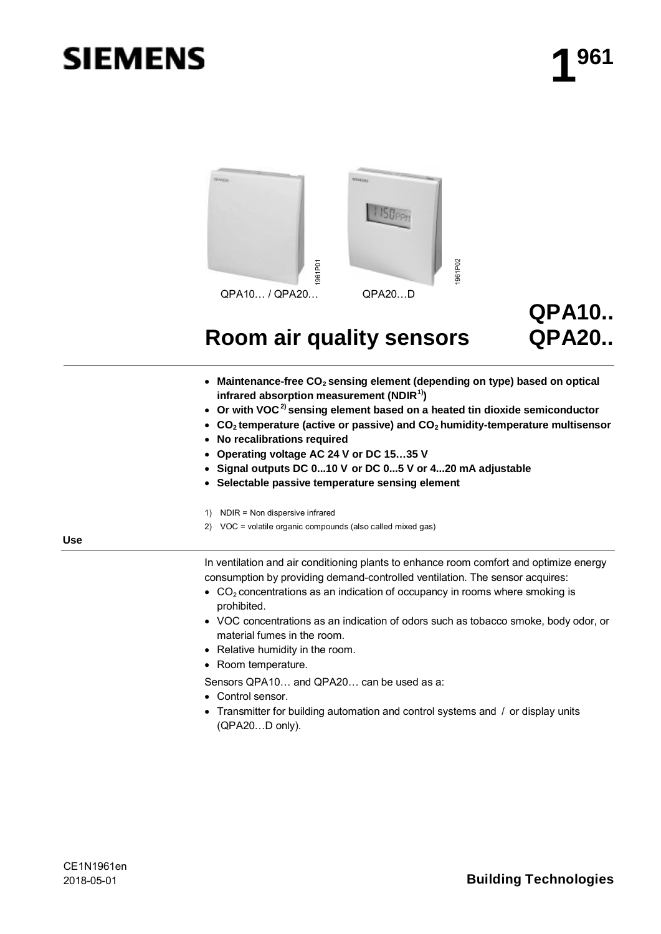# **SIEMENS**



## **QPA10.. QPA20..**

## **Room air quality sensors**

- · **Maintenance-free CO<sup>2</sup> sensing element (depending on type) based on optical infrared absorption measurement (NDIR1))**
- · **Or with VOC2) sensing element based on a heated tin dioxide semiconductor**
- · **CO<sup>2</sup> temperature (active or passive) and CO<sup>2</sup> humidity-temperature multisensor**
- · **No recalibrations required**
- · **Operating voltage AC 24 V or DC 15…35 V**
- · **Signal outputs DC 0...10 V or DC 0...5 V or 4...20 mA adjustable**
- · **Selectable passive temperature sensing element**
- 1) NDIR = Non dispersive infrared
- 2) VOC = volatile organic compounds (also called mixed gas)

**Use**

In ventilation and air conditioning plants to enhance room comfort and optimize energy consumption by providing demand-controlled ventilation. The sensor acquires:

- $CO<sub>2</sub>$  concentrations as an indication of occupancy in rooms where smoking is prohibited.
- · VOC concentrations as an indication of odors such as tobacco smoke, body odor, or material fumes in the room.
- · Relative humidity in the room.
- · Room temperature.
- Sensors QPA10… and QPA20… can be used as a:
- · Control sensor.
- · Transmitter for building automation and control systems and / or display units (QPA20…D only).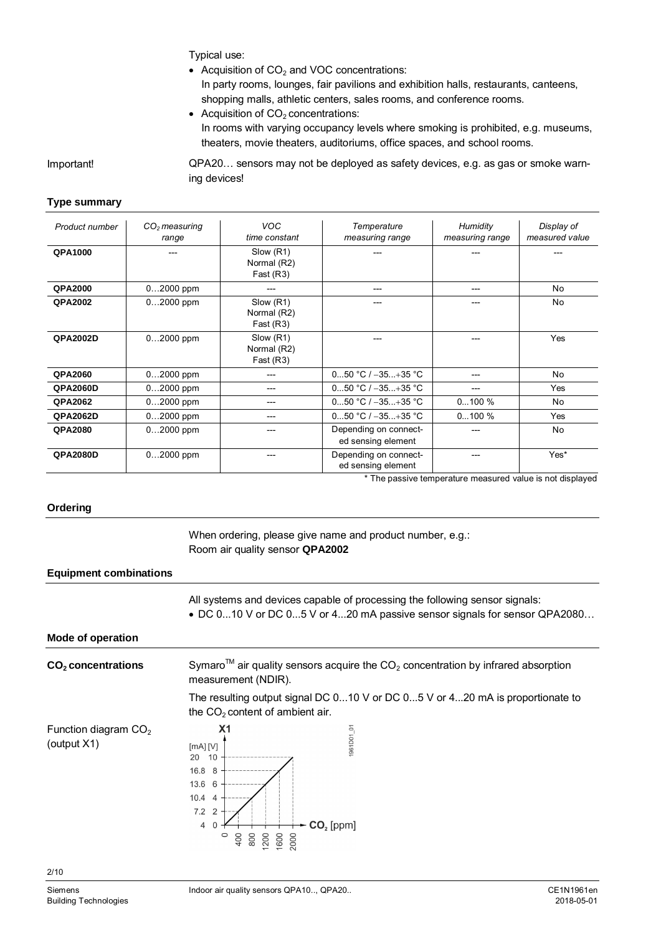Typical use:

- Acquisition of  $CO<sub>2</sub>$  and VOC concentrations: In party rooms, lounges, fair pavilions and exhibition halls, restaurants, canteens, shopping malls, athletic centers, sales rooms, and conference rooms.
- Acquisition of  $CO<sub>2</sub>$  concentrations: In rooms with varying occupancy levels where smoking is prohibited, e.g. museums, theaters, movie theaters, auditoriums, office spaces, and school rooms.

Important!

QPA20… sensors may not be deployed as safety devices, e.g. as gas or smoke warning devices!

#### **Type summary**

| Product number  | $CO2$ measuring | <b>VOC</b>    | Temperature           | Humidity        | Display of     |
|-----------------|-----------------|---------------|-----------------------|-----------------|----------------|
|                 | range           | time constant | measuring range       | measuring range | measured value |
| <b>QPA1000</b>  |                 | Slow (R1)     |                       |                 |                |
|                 |                 | Normal (R2)   |                       |                 |                |
|                 |                 | Fast $(R3)$   |                       |                 |                |
| <b>QPA2000</b>  | $02000$ ppm     |               | ---                   | ---             | No             |
| <b>QPA2002</b>  | $02000$ ppm     | Slow (R1)     |                       |                 | No             |
|                 |                 | Normal (R2)   |                       |                 |                |
|                 |                 | Fast(R3)      |                       |                 |                |
| <b>QPA2002D</b> | $02000$ ppm     | Slow (R1)     |                       |                 | Yes            |
|                 |                 | Normal (R2)   |                       |                 |                |
|                 |                 | Fast $(R3)$   |                       |                 |                |
| <b>QPA2060</b>  | 02000 ppm       | ---           | 050 °C / $-35+35$ °C  |                 | No             |
| <b>QPA2060D</b> | $02000$ ppm     | ---           | 050 °C / $-35+35$ °C  |                 | Yes            |
| <b>QPA2062</b>  | 02000 ppm       | ---           | 050 °C / $-35+35$ °C  | $0100 \%$       | No             |
| <b>QPA2062D</b> | 02000 ppm       | ---           | 050 °C / $-35+35$ °C  | $0100 \%$       | Yes            |
| <b>QPA2080</b>  | $02000$ ppm     | ---           | Depending on connect- |                 | No             |
|                 |                 |               | ed sensing element    |                 |                |
| <b>QPA2080D</b> | $02000$ ppm     |               | Depending on connect- |                 | Yes*           |
|                 |                 |               | ed sensing element    |                 |                |

\* The passive temperature measured value is not displayed

#### **Ordering**

When ordering, please give name and product number, e.g.: Room air quality sensor **QPA2002**

#### **Equipment combinations**

All systems and devices capable of processing the following sensor signals: · DC 0...10 V or DC 0...5 V or 4...20 mA passive sensor signals for sensor QPA2080…

#### **Mode of operation**

| $CO2$ concentrations                  | Symaro <sup>TM</sup> air quality sensors acquire the $CO2$ concentration by infrared absorption<br>measurement (NDIR).                                             |                                   |  |  |
|---------------------------------------|--------------------------------------------------------------------------------------------------------------------------------------------------------------------|-----------------------------------|--|--|
|                                       | The resulting output signal DC 010 V or DC 05 V or 420 mA is proportionate to<br>the $CO2$ content of ambient air.                                                 |                                   |  |  |
| Function diagram $CO2$<br>(output X1) | X <sub>1</sub><br>$[MA]$ $[V]$<br>20<br>10<br>16.8<br>8<br>13.6<br>6<br>10.4<br>$\overline{4}$<br>7.2<br>$\overline{2}$<br>$\overline{4}$<br>$\circ$<br>400<br>800 | 1961D01_01<br>$CO2$ [ppm]<br>2000 |  |  |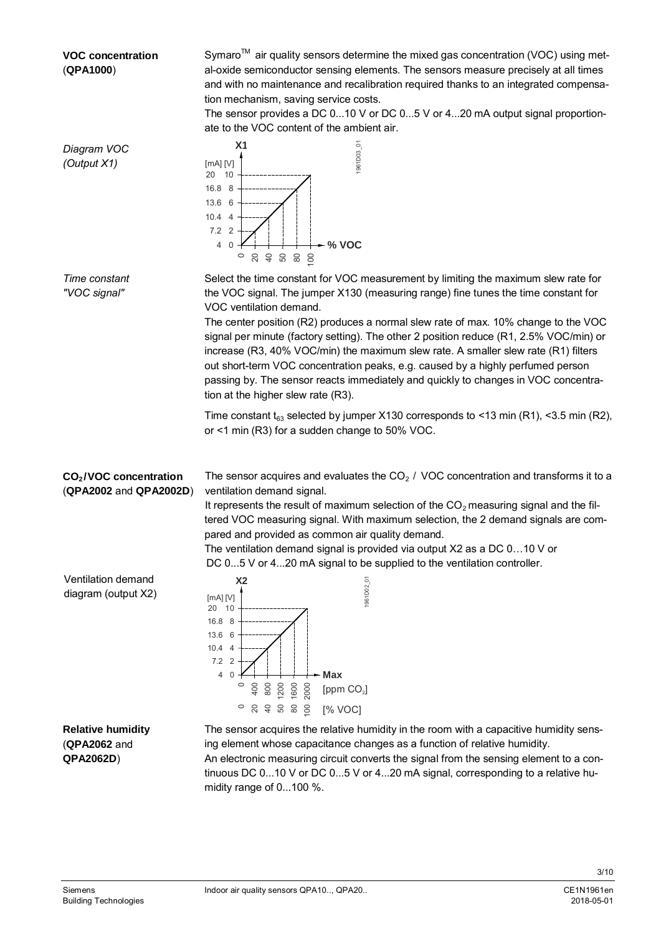#### **VOC concentration** (**QPA1000**)

Symaro<sup>TM</sup> air quality sensors determine the mixed gas concentration (VOC) using metal-oxide semiconductor sensing elements. The sensors measure precisely at all times and with no maintenance and recalibration required thanks to an integrated compensation mechanism, saving service costs.

The sensor provides a DC 0...10 V or DC 0...5 V or 4...20 mA output signal proportionate to the VOC content of the ambient air.



midity range of 0...100 %.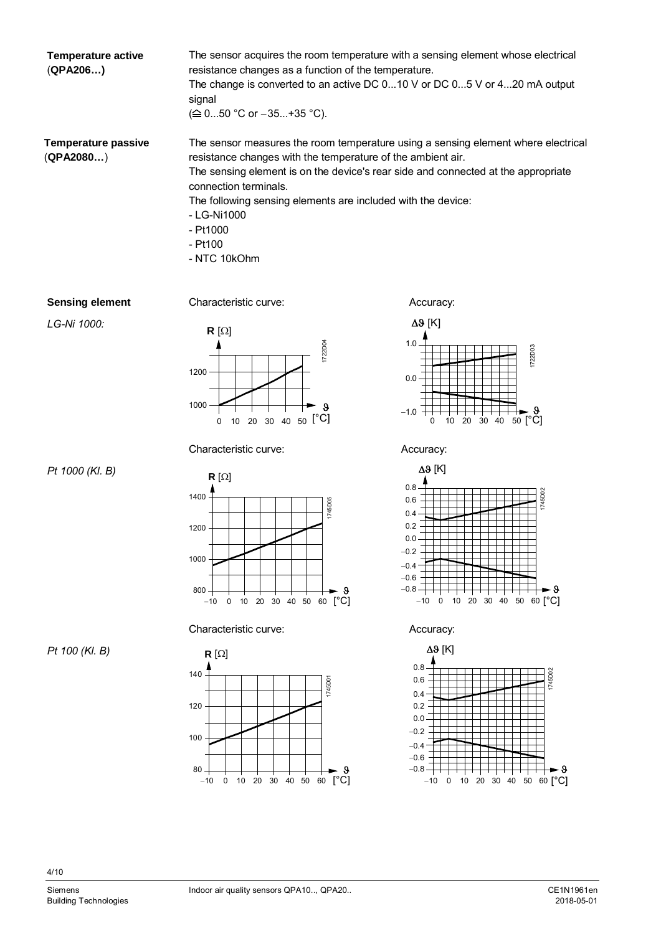**Temperature active** (**QPA206…)**

The sensor acquires the room temperature with a sensing element whose electrical resistance changes as a function of the temperature. The change is converted to an active DC 0...10 V or DC 0...5 V or 4...20 mA output signal  $( \triangleq 0...50 \degree C \text{ or } -35...+35 \degree C).$ 

**Temperature passive** (**QPA2080…**)

The sensor measures the room temperature using a sensing element where electrical resistance changes with the temperature of the ambient air. The sensing element is on the device's rear side and connected at the appropriate connection terminals. The following sensing elements are included with the device: - LG-Ni1000

- Pt1000
- Pt100
- NTC 10kOhm

#### **Sensing element**

Characteristic curve: **Accuracy:** Accuracy:





Characteristic curve: Accuracy:





Characteristic curve: Accuracy:



 $\Delta$  $\theta$  [K]









*Pt 100 (Kl. B)*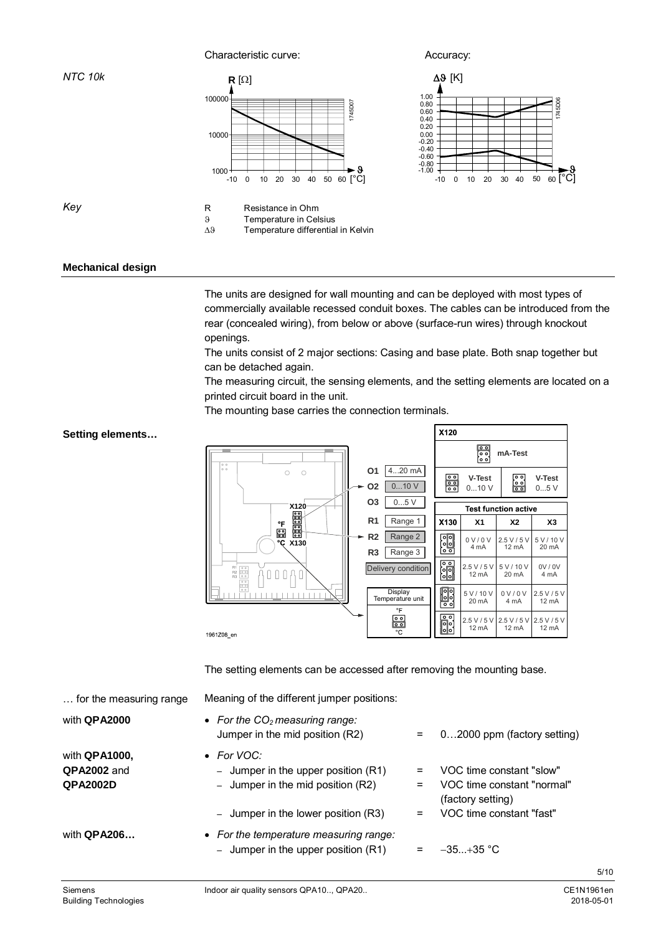Characteristic curve: **Accuracy:** Accuracy:

9 Temperature in Celsius

 $\Delta 9$  Temperature differential in Kelvin





*Key*

*NTC 10k*

#### **Mechanical design**

The units are designed for wall mounting and can be deployed with most types of commercially available recessed conduit boxes. The cables can be introduced from the rear (concealed wiring), from below or above (surface-run wires) through knockout openings.

The units consist of 2 major sections: Casing and base plate. Both snap together but can be detached again.

The measuring circuit, the sensing elements, and the setting elements are located on a printed circuit board in the unit.

The mounting base carries the connection terminals.

#### X120 မြို့<br>၁၀၀ **mA-Test O1** 4...20 mA  $\bigcirc$  $\circ$ န်း **V-Test**  $\frac{1}{2}$ **V-Test O2** 0...10 V 0...10 V 0...5 V **O3**  $\boxed{0...5 \text{ V}}$ **X120 Test function active R1** Range 1 X130  $x_1$   $x_2$   $x_3$ °F  $\dot{c}$ **R2** Range 2 विव 0 V / 0 V 2.5 V / 5 V 5 V / 10 V **X130** 4 mA 12 mA 20 mA **R3** Range 3  $\frac{1}{2}$ 2.5 V / 5 V 5 V / 10 V 0V / 0V Delivery condition  $\begin{smallmatrix} 0 & 0 & 0 \end{smallmatrix}$ ſ 12 mA 20 mA 4 mA **Do** Display Temperature unit 0 V / 0 V 2.5 V / 5 V 5 V / 10 V 20 mA 12 mA 4 mA  $\frac{1}{2}$ ⊡ 2.5 V / 5 V 2.5 V / 5 V 2.5 V / 5 V **io**<br>io 12 mA 12 mA  $12 \text{ mA}$ 1961Z08\_en

The setting elements can be accessed after removing the mounting base.

| for the measuring range                         | Meaning of the different jumper positions:                                                 |            |                                                                             |
|-------------------------------------------------|--------------------------------------------------------------------------------------------|------------|-----------------------------------------------------------------------------|
| with QPA2000                                    | • For the $CO2$ measuring range:<br>Jumper in the mid position (R2)                        | $=$        | 02000 ppm (factory setting)                                                 |
| with QPA1000,<br>QPA2002 and<br><b>QPA2002D</b> | • For VOC:<br>- Jumper in the upper position $(R1)$<br>- Jumper in the mid position $(R2)$ | $=$<br>$=$ | VOC time constant "slow"<br>VOC time constant "normal"<br>(factory setting) |
|                                                 | - Jumper in the lower position $(R3)$                                                      | $=$        | VOC time constant "fast"                                                    |
| with <b>QPA206</b>                              | • For the temperature measuring range:<br>- Jumper in the upper position $(R1)$            | $=$        | $-35+35$ °C                                                                 |

#### **Setting elements…**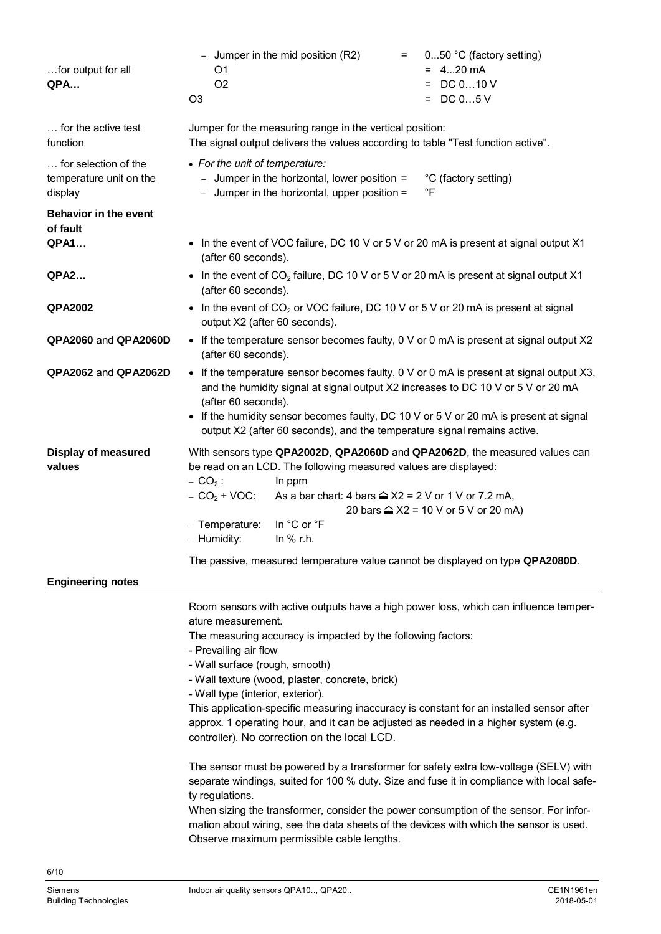| for output for all<br>QPA                                  | 050 °C (factory setting)<br>- Jumper in the mid position $(R2)$<br>=<br>$= 420$ mA<br>O1<br>$=$ DC 010 V<br>O <sub>2</sub><br>$=$ DC 05 V<br>O <sub>3</sub>                                                                                                                                                                                                                                                                                                                                                                                                                                                                                                                                                                                                                                                                                                                                                                                                                                               |  |  |  |
|------------------------------------------------------------|-----------------------------------------------------------------------------------------------------------------------------------------------------------------------------------------------------------------------------------------------------------------------------------------------------------------------------------------------------------------------------------------------------------------------------------------------------------------------------------------------------------------------------------------------------------------------------------------------------------------------------------------------------------------------------------------------------------------------------------------------------------------------------------------------------------------------------------------------------------------------------------------------------------------------------------------------------------------------------------------------------------|--|--|--|
| for the active test<br>function                            | Jumper for the measuring range in the vertical position:<br>The signal output delivers the values according to table "Test function active".                                                                                                                                                                                                                                                                                                                                                                                                                                                                                                                                                                                                                                                                                                                                                                                                                                                              |  |  |  |
| for selection of the<br>temperature unit on the<br>display | • For the unit of temperature:<br>- Jumper in the horizontal, lower position =<br>°C (factory setting)<br>- Jumper in the horizontal, upper position =<br>°F                                                                                                                                                                                                                                                                                                                                                                                                                                                                                                                                                                                                                                                                                                                                                                                                                                              |  |  |  |
| <b>Behavior in the event</b><br>of fault<br><b>QPA1</b>    | • In the event of VOC failure, DC 10 V or 5 V or 20 mA is present at signal output X1                                                                                                                                                                                                                                                                                                                                                                                                                                                                                                                                                                                                                                                                                                                                                                                                                                                                                                                     |  |  |  |
|                                                            | (after 60 seconds).                                                                                                                                                                                                                                                                                                                                                                                                                                                                                                                                                                                                                                                                                                                                                                                                                                                                                                                                                                                       |  |  |  |
| <b>QPA2</b>                                                | • In the event of $CO2$ failure, DC 10 V or 5 V or 20 mA is present at signal output X1<br>(after 60 seconds).                                                                                                                                                                                                                                                                                                                                                                                                                                                                                                                                                                                                                                                                                                                                                                                                                                                                                            |  |  |  |
| <b>QPA2002</b>                                             | In the event of $CO2$ or VOC failure, DC 10 V or 5 V or 20 mA is present at signal<br>$\bullet$<br>output X2 (after 60 seconds).                                                                                                                                                                                                                                                                                                                                                                                                                                                                                                                                                                                                                                                                                                                                                                                                                                                                          |  |  |  |
| QPA2060 and QPA2060D                                       | • If the temperature sensor becomes faulty, 0 V or 0 mA is present at signal output X2<br>(after 60 seconds).                                                                                                                                                                                                                                                                                                                                                                                                                                                                                                                                                                                                                                                                                                                                                                                                                                                                                             |  |  |  |
| QPA2062 and QPA2062D                                       | • If the temperature sensor becomes faulty, 0 V or 0 mA is present at signal output X3,<br>and the humidity signal at signal output X2 increases to DC 10 V or 5 V or 20 mA<br>(after 60 seconds).<br>If the humidity sensor becomes faulty, DC 10 V or 5 V or 20 mA is present at signal<br>output X2 (after 60 seconds), and the temperature signal remains active.                                                                                                                                                                                                                                                                                                                                                                                                                                                                                                                                                                                                                                     |  |  |  |
| <b>Display of measured</b><br>values                       | With sensors type QPA2002D, QPA2060D and QPA2062D, the measured values can<br>be read on an LCD. The following measured values are displayed:<br>$- CO2$ :<br>In ppm<br>$- CO2 + VOC:$<br>As a bar chart: 4 bars $\cong$ X2 = 2 V or 1 V or 7.2 mA,<br>20 bars $\cong$ X2 = 10 V or 5 V or 20 mA)<br>In °C or °F<br>- Temperature:<br>- Humidity:<br>In $%$ r.h.<br>The passive, measured temperature value cannot be displayed on type QPA2080D.                                                                                                                                                                                                                                                                                                                                                                                                                                                                                                                                                         |  |  |  |
| <b>Engineering notes</b>                                   |                                                                                                                                                                                                                                                                                                                                                                                                                                                                                                                                                                                                                                                                                                                                                                                                                                                                                                                                                                                                           |  |  |  |
|                                                            | Room sensors with active outputs have a high power loss, which can influence temper-<br>ature measurement.<br>The measuring accuracy is impacted by the following factors:<br>- Prevailing air flow<br>- Wall surface (rough, smooth)<br>- Wall texture (wood, plaster, concrete, brick)<br>- Wall type (interior, exterior).<br>This application-specific measuring inaccuracy is constant for an installed sensor after<br>approx. 1 operating hour, and it can be adjusted as needed in a higher system (e.g.<br>controller). No correction on the local LCD.<br>The sensor must be powered by a transformer for safety extra low-voltage (SELV) with<br>separate windings, suited for 100 % duty. Size and fuse it in compliance with local safe-<br>ty regulations.<br>When sizing the transformer, consider the power consumption of the sensor. For infor-<br>mation about wiring, see the data sheets of the devices with which the sensor is used.<br>Observe maximum permissible cable lengths. |  |  |  |
|                                                            |                                                                                                                                                                                                                                                                                                                                                                                                                                                                                                                                                                                                                                                                                                                                                                                                                                                                                                                                                                                                           |  |  |  |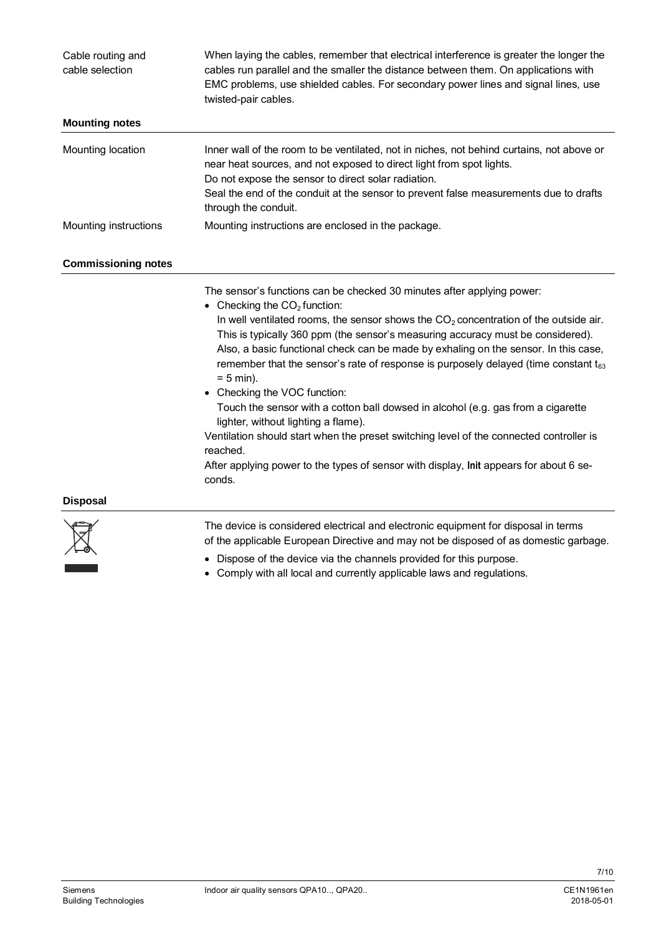| Cable routing and<br>cable selection | When laying the cables, remember that electrical interference is greater the longer the<br>cables run parallel and the smaller the distance between them. On applications with<br>EMC problems, use shielded cables. For secondary power lines and signal lines, use<br>twisted-pair cables.                                                                                                                                                                                                                                                                                                                                                                                                                                                                                                                                                                  |
|--------------------------------------|---------------------------------------------------------------------------------------------------------------------------------------------------------------------------------------------------------------------------------------------------------------------------------------------------------------------------------------------------------------------------------------------------------------------------------------------------------------------------------------------------------------------------------------------------------------------------------------------------------------------------------------------------------------------------------------------------------------------------------------------------------------------------------------------------------------------------------------------------------------|
| <b>Mounting notes</b>                |                                                                                                                                                                                                                                                                                                                                                                                                                                                                                                                                                                                                                                                                                                                                                                                                                                                               |
| Mounting location                    | Inner wall of the room to be ventilated, not in niches, not behind curtains, not above or<br>near heat sources, and not exposed to direct light from spot lights.<br>Do not expose the sensor to direct solar radiation.<br>Seal the end of the conduit at the sensor to prevent false measurements due to drafts<br>through the conduit.                                                                                                                                                                                                                                                                                                                                                                                                                                                                                                                     |
| Mounting instructions                | Mounting instructions are enclosed in the package.                                                                                                                                                                                                                                                                                                                                                                                                                                                                                                                                                                                                                                                                                                                                                                                                            |
| <b>Commissioning notes</b>           |                                                                                                                                                                                                                                                                                                                                                                                                                                                                                                                                                                                                                                                                                                                                                                                                                                                               |
|                                      | The sensor's functions can be checked 30 minutes after applying power:<br>Checking the $CO2$ function:<br>In well ventilated rooms, the sensor shows the $CO2$ concentration of the outside air.<br>This is typically 360 ppm (the sensor's measuring accuracy must be considered).<br>Also, a basic functional check can be made by exhaling on the sensor. In this case,<br>remember that the sensor's rate of response is purposely delayed (time constant $t_{63}$ )<br>$= 5$ min).<br>• Checking the VOC function:<br>Touch the sensor with a cotton ball dowsed in alcohol (e.g. gas from a cigarette<br>lighter, without lighting a flame).<br>Ventilation should start when the preset switching level of the connected controller is<br>reached.<br>After applying power to the types of sensor with display, Init appears for about 6 se-<br>conds. |
| <b>Disposal</b>                      |                                                                                                                                                                                                                                                                                                                                                                                                                                                                                                                                                                                                                                                                                                                                                                                                                                                               |
|                                      | The device is considered electrical and electronic equipment for disposal in terms                                                                                                                                                                                                                                                                                                                                                                                                                                                                                                                                                                                                                                                                                                                                                                            |

- of the applicable European Directive and may not be disposed of as domestic garbage.
- · Dispose of the device via the channels provided for this purpose.
- · Comply with all local and currently applicable laws and regulations.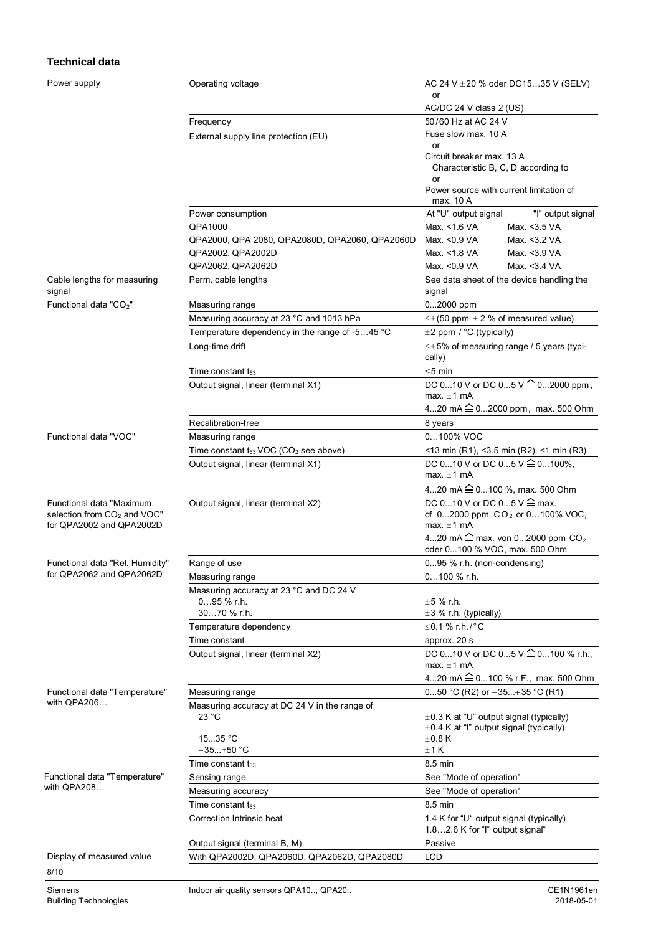#### **Technical data**

| Power supply                                                                                    | Operating voltage                                         | AC 24 V $\pm$ 20 % oder DC1535 V (SELV)<br>or                                                        |  |
|-------------------------------------------------------------------------------------------------|-----------------------------------------------------------|------------------------------------------------------------------------------------------------------|--|
|                                                                                                 |                                                           | AC/DC 24 V class 2 (US)                                                                              |  |
|                                                                                                 | Frequency                                                 | 50/60 Hz at AC 24 V                                                                                  |  |
|                                                                                                 | External supply line protection (EU)                      | Fuse slow max, 10 A                                                                                  |  |
|                                                                                                 |                                                           | or                                                                                                   |  |
|                                                                                                 |                                                           | Circuit breaker max. 13 A<br>Characteristic B, C, D according to                                     |  |
|                                                                                                 |                                                           | or<br>Power source with current limitation of<br>max. 10 A                                           |  |
|                                                                                                 | Power consumption                                         | At "U" output signal<br>"I" output signal                                                            |  |
|                                                                                                 | QPA1000                                                   | Max. <1.6 VA<br>Max. <3.5 VA                                                                         |  |
|                                                                                                 | QPA2000, QPA 2080, QPA2080D, QPA2060, QPA2060D            | Max. < 0.9 VA<br>Max. <3.2 VA                                                                        |  |
|                                                                                                 | QPA2002, QPA2002D                                         | Max. <1.8 VA<br>Max. <3.9 VA                                                                         |  |
|                                                                                                 | QPA2062, QPA2062D                                         | Max. < 0.9 VA<br>Max. <3.4 VA                                                                        |  |
| Cable lengths for measuring<br>signal                                                           | Perm. cable lengths                                       | See data sheet of the device handling the<br>signal                                                  |  |
| Functional data "CO <sub>2</sub> "                                                              | Measuring range                                           | $02000$ ppm                                                                                          |  |
|                                                                                                 | Measuring accuracy at 23 °C and 1013 hPa                  | $\leq \pm (50$ ppm + 2 % of measured value)                                                          |  |
|                                                                                                 | Temperature dependency in the range of -545 °C            | ±2 ppm / °C (typically)                                                                              |  |
|                                                                                                 | Long-time drift                                           | $\leq \pm 5\%$ of measuring range / 5 years (typi-<br>cally)                                         |  |
|                                                                                                 | Time constant $t_{63}$                                    | $< 5$ min                                                                                            |  |
|                                                                                                 | Output signal, linear (terminal X1)                       | DC 010 V or DC 05 $V \stackrel{\frown}{=} 0$ 2000 ppm,<br>max. $\pm$ 1 mA                            |  |
|                                                                                                 |                                                           | 420 mA $\hat{=}$ 02000 ppm, max. 500 Ohm                                                             |  |
|                                                                                                 | Recalibration-free                                        | 8 years                                                                                              |  |
| Functional data "VOC"                                                                           | Measuring range                                           | 0100% VOC                                                                                            |  |
|                                                                                                 | Time constant $t_{63}$ VOC (CO <sub>2</sub> see above)    | <13 min (R1), <3.5 min (R2), <1 min (R3)                                                             |  |
|                                                                                                 | Output signal, linear (terminal X1)                       | DC 010 V or DC 05 V $\hat{=}$ 0100%,<br>max. $\pm$ 1 mA                                              |  |
|                                                                                                 |                                                           | 420 mA <sup>2</sup> 0100 %, max. 500 Ohm                                                             |  |
| Functional data "Maximum<br>selection from CO <sub>2</sub> and VOC"<br>for QPA2002 and QPA2002D | Output signal, linear (terminal X2)                       | DC 010 V or DC 05 V $\hat{=}$ max.<br>of 02000 ppm, CO <sub>2</sub> or 0100% VOC,<br>max. $\pm 1$ mA |  |
|                                                                                                 |                                                           | 420 mA $\widehat{=}$ max. von 02000 ppm CO <sub>2</sub><br>oder 0100 % VOC, max. 500 Ohm             |  |
| Functional data "Rel. Humidity"                                                                 | Range of use                                              | 095 % r.h. (non-condensing)                                                                          |  |
| for QPA2062 and QPA2062D                                                                        | Measuring range                                           | $0100 \%$ r.h.                                                                                       |  |
|                                                                                                 | Measuring accuracy at 23 °C and DC 24 V<br>$095$ % r.h.   | $±5%$ r.h.                                                                                           |  |
|                                                                                                 | 3070 % r.h.                                               | $\pm 3$ % r.h. (typically)                                                                           |  |
|                                                                                                 | Temperature dependency                                    | ≤0.1 % r.h./°C                                                                                       |  |
|                                                                                                 | Time constant                                             | approx. 20 s                                                                                         |  |
|                                                                                                 | Output signal, linear (terminal X2)                       | DC 010 V or DC 05 V <sup>2</sup> 0100 % r.h.,<br>max. $\pm 1$ mA                                     |  |
|                                                                                                 |                                                           | 420 mA $\hat{=}$ 0100 % r.F., max. 500 Ohm                                                           |  |
| Functional data "Temperature"<br>with QPA206                                                    | Measuring range                                           | 050 °C (R2) or $-35+35$ °C (R1)                                                                      |  |
|                                                                                                 | Measuring accuracy at DC 24 V in the range of             |                                                                                                      |  |
|                                                                                                 | 23 °C                                                     | $\pm$ 0.3 K at "U" output signal (typically)<br>$\pm$ 0.4 K at "I" output signal (typically)         |  |
|                                                                                                 | 1535 °C                                                   | $\pm$ 0.8 K                                                                                          |  |
|                                                                                                 | $-35+50 °C$                                               | ±1K                                                                                                  |  |
|                                                                                                 | Time constant $t_{63}$                                    | 8.5 min                                                                                              |  |
| Functional data "Temperature"                                                                   | Sensing range                                             | See "Mode of operation"                                                                              |  |
| with QPA208                                                                                     | Measuring accuracy                                        | See "Mode of operation"                                                                              |  |
|                                                                                                 | Time constant $t_{63}$                                    | 8.5 min                                                                                              |  |
|                                                                                                 | Correction Intrinsic heat                                 | 1.4 K for "U" output signal (typically)<br>1.82.6 K for "I" output signal"                           |  |
|                                                                                                 | Output signal (terminal B, M)                             | Passive                                                                                              |  |
| Display of measured value<br>8/10                                                               | With QPA2002D, QPA2060D, QPA2062D, QPA2080D<br><b>LCD</b> |                                                                                                      |  |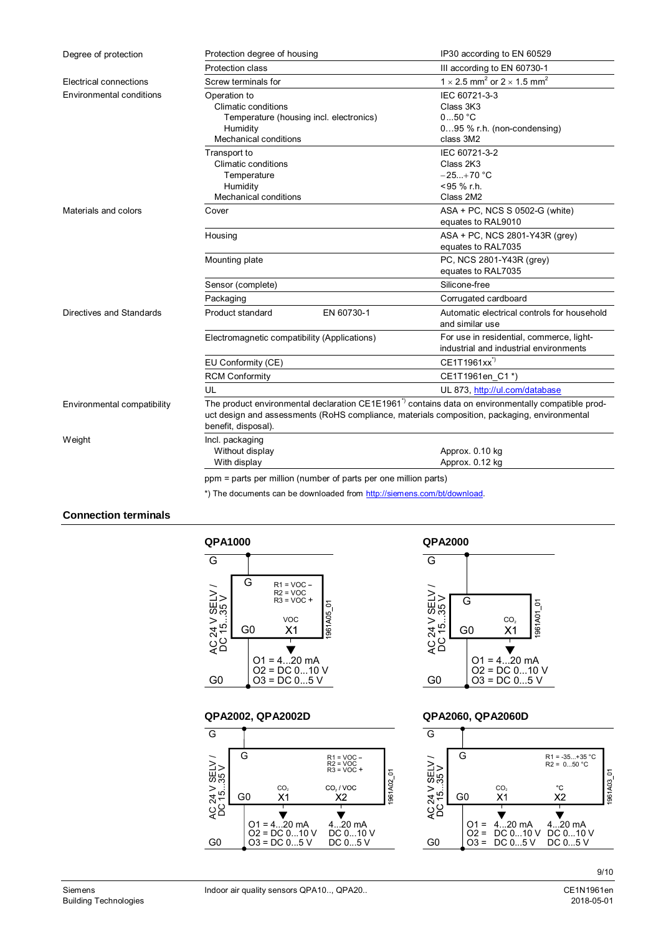| Degree of protection            | Protection degree of housing                                                                                                                                                                                                         |                                                                 | IP30 according to EN 60529                                                         |  |
|---------------------------------|--------------------------------------------------------------------------------------------------------------------------------------------------------------------------------------------------------------------------------------|-----------------------------------------------------------------|------------------------------------------------------------------------------------|--|
|                                 | Protection class                                                                                                                                                                                                                     |                                                                 | III according to EN 60730-1                                                        |  |
| Electrical connections          | Screw terminals for                                                                                                                                                                                                                  |                                                                 | 1 $\times$ 2.5 mm <sup>2</sup> or 2 $\times$ 1.5 mm <sup>2</sup>                   |  |
| <b>Environmental conditions</b> | Operation to<br><b>Climatic conditions</b><br>Humidity<br><b>Mechanical conditions</b>                                                                                                                                               | Temperature (housing incl. electronics)                         | IEC 60721-3-3<br>Class 3K3<br>$050$ °C<br>095 % r.h. (non-condensing)<br>class 3M2 |  |
|                                 | Transport to<br><b>Climatic conditions</b><br>Temperature<br>Humidity<br><b>Mechanical conditions</b>                                                                                                                                |                                                                 | IEC 60721-3-2<br>Class 2K3<br>$-25+70 °C$<br><95 % r.h.<br>Class 2M2               |  |
| Materials and colors            | Cover                                                                                                                                                                                                                                |                                                                 | ASA + PC, NCS S 0502-G (white)<br>equates to RAL9010                               |  |
|                                 | Housing                                                                                                                                                                                                                              |                                                                 | ASA + PC, NCS 2801-Y43R (grey)<br>equates to RAL7035                               |  |
|                                 | Mounting plate                                                                                                                                                                                                                       |                                                                 | PC, NCS 2801-Y43R (grey)<br>equates to RAL7035                                     |  |
|                                 | Sensor (complete)                                                                                                                                                                                                                    |                                                                 | Silicone-free                                                                      |  |
|                                 | Packaging                                                                                                                                                                                                                            |                                                                 | Corrugated cardboard                                                               |  |
| Directives and Standards        | Product standard                                                                                                                                                                                                                     | EN 60730-1                                                      | Automatic electrical controls for household<br>and similar use                     |  |
|                                 | Electromagnetic compatibility (Applications)                                                                                                                                                                                         |                                                                 | For use in residential, commerce, light-<br>industrial and industrial environments |  |
|                                 | EU Conformity (CE)                                                                                                                                                                                                                   |                                                                 | CE1T1961xx <sup>"</sup>                                                            |  |
|                                 | <b>RCM Conformity</b>                                                                                                                                                                                                                |                                                                 | CE1T1961en_C1*)                                                                    |  |
|                                 | UL                                                                                                                                                                                                                                   |                                                                 | UL 873, http://ul.com/database                                                     |  |
| Environmental compatibility     | The product environmental declaration CE1E1961 <sup>-</sup> contains data on environmentally compatible prod-<br>uct design and assessments (RoHS compliance, materials composition, packaging, environmental<br>benefit, disposal). |                                                                 |                                                                                    |  |
| Weight                          | Incl. packaging<br>Without display<br>With display                                                                                                                                                                                   |                                                                 | Approx. 0.10 kg<br>Approx. 0.12 kg                                                 |  |
|                                 |                                                                                                                                                                                                                                      | ppm = parts per million (number of parts per one million parts) |                                                                                    |  |

## \*) The documents can be downloaded from [http://siemens.com/bt/download.](http://siemens.com/bt/download)

### **Connection terminals**







### **QPA2002, QPA2002D QPA2060, QPA2060D**